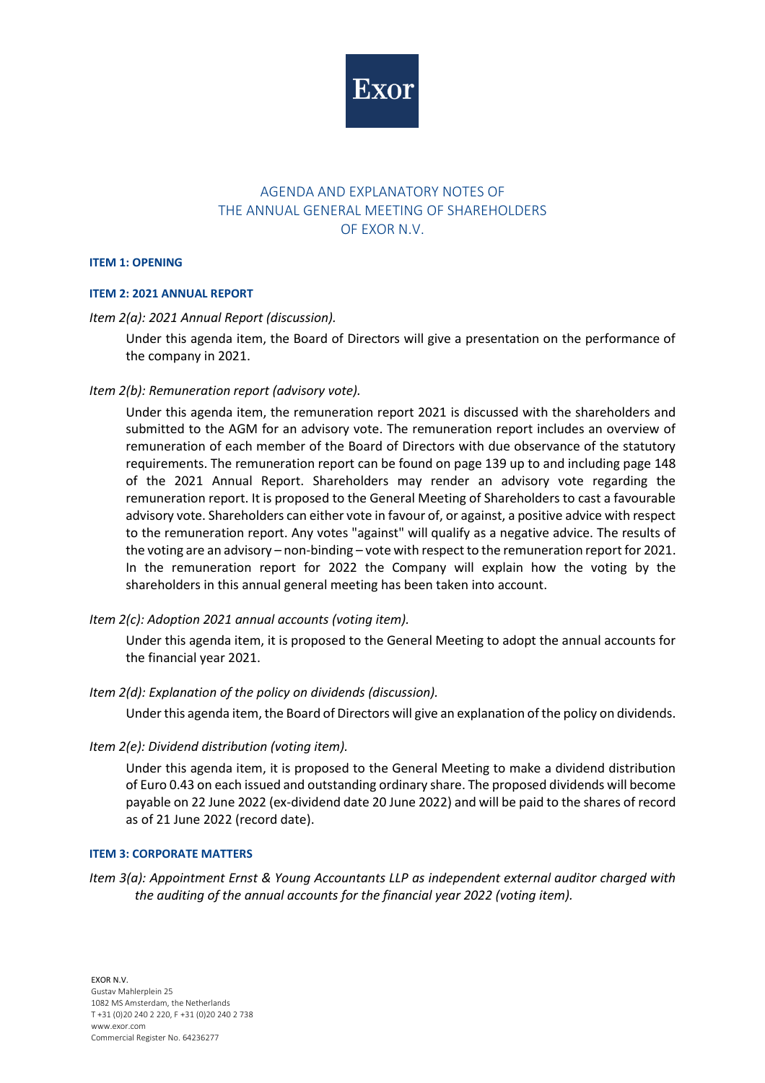

# AGENDA AND EXPLANATORY NOTES OF THE ANNUAL GENERAL MEETING OF SHAREHOLDERS OF EXOR N.V.

#### **ITEM 1: OPENING**

#### **ITEM 2: 2021 ANNUAL REPORT**

#### *Item 2(a): 2021 Annual Report (discussion).*

Under this agenda item, the Board of Directors will give a presentation on the performance of the company in 2021.

### *Item 2(b): Remuneration report (advisory vote).*

Under this agenda item, the remuneration report 2021 is discussed with the shareholders and submitted to the AGM for an advisory vote. The remuneration report includes an overview of remuneration of each member of the Board of Directors with due observance of the statutory requirements. The remuneration report can be found on page 139 up to and including page 148 of the 2021 Annual Report. Shareholders may render an advisory vote regarding the remuneration report. It is proposed to the General Meeting of Shareholders to cast a favourable advisory vote. Shareholders can either vote in favour of, or against, a positive advice with respect to the remuneration report. Any votes "against" will qualify as a negative advice. The results of the voting are an advisory – non-binding – vote with respect to the remuneration report for 2021. In the remuneration report for 2022 the Company will explain how the voting by the shareholders in this annual general meeting has been taken into account.

### *Item 2(c): Adoption 2021 annual accounts (voting item).*

Under this agenda item, it is proposed to the General Meeting to adopt the annual accounts for the financial year 2021.

### *Item 2(d): Explanation of the policy on dividends (discussion).*

Under this agenda item, the Board of Directors will give an explanation of the policy on dividends.

#### *Item 2(e): Dividend distribution (voting item).*

Under this agenda item, it is proposed to the General Meeting to make a dividend distribution of Euro 0.43 on each issued and outstanding ordinary share. The proposed dividends will become payable on 22 June 2022 (ex-dividend date 20 June 2022) and will be paid to the shares of record as of 21 June 2022 (record date).

#### **ITEM 3: CORPORATE MATTERS**

*Item 3(a): Appointment Ernst & Young Accountants LLP as independent external auditor charged with the auditing of the annual accounts for the financial year 2022 (voting item).*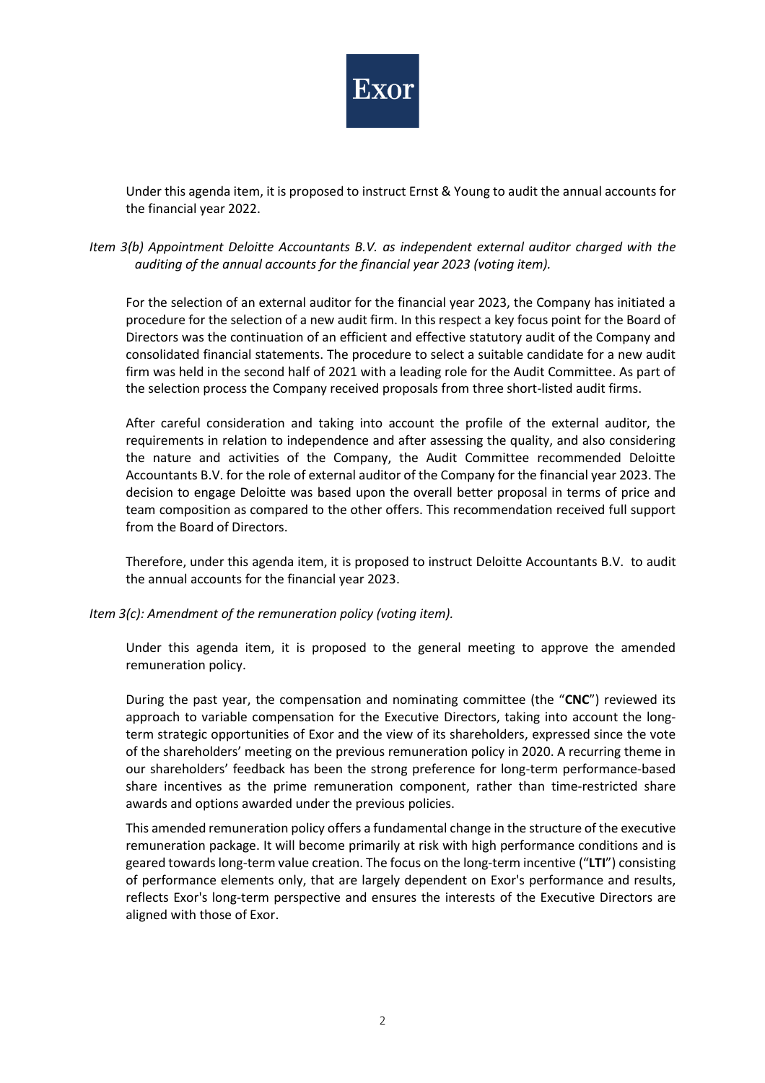

Under this agenda item, it is proposed to instruct Ernst & Young to audit the annual accounts for the financial year 2022.

## *Item 3(b) Appointment Deloitte Accountants B.V. as independent external auditor charged with the auditing of the annual accounts for the financial year 2023 (voting item).*

For the selection of an external auditor for the financial year 2023, the Company has initiated a procedure for the selection of a new audit firm. In this respect a key focus point for the Board of Directors was the continuation of an efficient and effective statutory audit of the Company and consolidated financial statements. The procedure to select a suitable candidate for a new audit firm was held in the second half of 2021 with a leading role for the Audit Committee. As part of the selection process the Company received proposals from three short-listed audit firms.

After careful consideration and taking into account the profile of the external auditor, the requirements in relation to independence and after assessing the quality, and also considering the nature and activities of the Company, the Audit Committee recommended Deloitte Accountants B.V. for the role of external auditor of the Company for the financial year 2023. The decision to engage Deloitte was based upon the overall better proposal in terms of price and team composition as compared to the other offers. This recommendation received full support from the Board of Directors.

Therefore, under this agenda item, it is proposed to instruct Deloitte Accountants B.V. to audit the annual accounts for the financial year 2023.

### *Item 3(c): Amendment of the remuneration policy (voting item).*

Under this agenda item, it is proposed to the general meeting to approve the amended remuneration policy.

During the past year, the compensation and nominating committee (the "**CNC**") reviewed its approach to variable compensation for the Executive Directors, taking into account the longterm strategic opportunities of Exor and the view of its shareholders, expressed since the vote of the shareholders' meeting on the previous remuneration policy in 2020. A recurring theme in our shareholders' feedback has been the strong preference for long-term performance-based share incentives as the prime remuneration component, rather than time-restricted share awards and options awarded under the previous policies.

This amended remuneration policy offers a fundamental change in the structure of the executive remuneration package. It will become primarily at risk with high performance conditions and is geared towards long-term value creation. The focus on the long-term incentive ("**LTI**") consisting of performance elements only, that are largely dependent on Exor's performance and results, reflects Exor's long-term perspective and ensures the interests of the Executive Directors are aligned with those of Exor.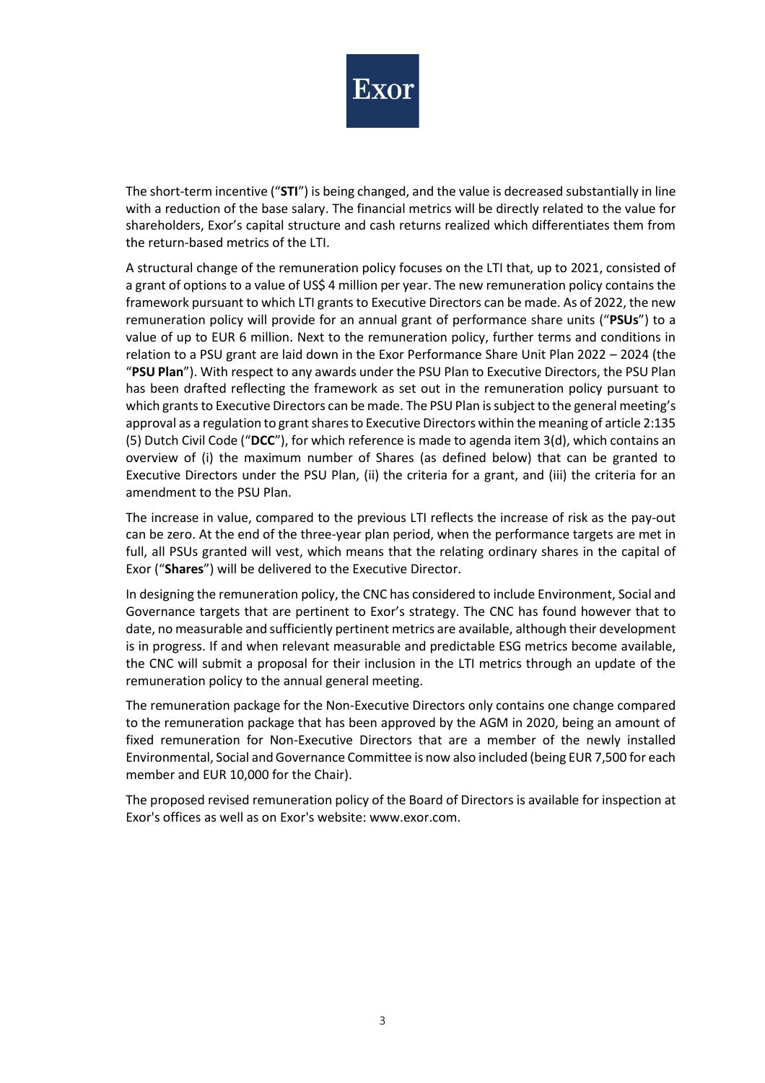

The short-term incentive ("**STI**") is being changed, and the value is decreased substantially in line with a reduction of the base salary. The financial metrics will be directly related to the value for shareholders, Exor's capital structure and cash returns realized which differentiates them from the return-based metrics of the LTI.

A structural change of the remuneration policy focuses on the LTI that, up to 2021, consisted of a grant of options to a value of US\$ 4 million per year. The new remuneration policy contains the framework pursuant to which LTI grants to Executive Directors can be made. As of 2022, the new remuneration policy will provide for an annual grant of performance share units ("**PSUs**") to a value of up to EUR 6 million. Next to the remuneration policy, further terms and conditions in relation to a PSU grant are laid down in the Exor Performance Share Unit Plan 2022 – 2024 (the "**PSU Plan**"). With respect to any awards under the PSU Plan to Executive Directors, the PSU Plan has been drafted reflecting the framework as set out in the remuneration policy pursuant to which grants to Executive Directors can be made. The PSU Plan is subject to the general meeting's approval as a regulation to grant shares to Executive Directors within the meaning of article 2:135 (5) Dutch Civil Code ("**DCC**"), for which reference is made to agenda item 3(d), which contains an overview of (i) the maximum number of Shares (as defined below) that can be granted to Executive Directors under the PSU Plan, (ii) the criteria for a grant, and (iii) the criteria for an amendment to the PSU Plan.

The increase in value, compared to the previous LTI reflects the increase of risk as the pay-out can be zero. At the end of the three-year plan period, when the performance targets are met in full, all PSUs granted will vest, which means that the relating ordinary shares in the capital of Exor ("**Shares**") will be delivered to the Executive Director.

In designing the remuneration policy, the CNC has considered to include Environment, Social and Governance targets that are pertinent to Exor's strategy. The CNC has found however that to date, no measurable and sufficiently pertinent metrics are available, although their development is in progress. If and when relevant measurable and predictable ESG metrics become available, the CNC will submit a proposal for their inclusion in the LTI metrics through an update of the remuneration policy to the annual general meeting.

The remuneration package for the Non-Executive Directors only contains one change compared to the remuneration package that has been approved by the AGM in 2020, being an amount of fixed remuneration for Non-Executive Directors that are a member of the newly installed Environmental, Social and Governance Committee is now also included (being EUR 7,500 for each member and EUR 10,000 for the Chair).

The proposed revised remuneration policy of the Board of Directors is available for inspection at Exor's offices as well as on Exor's website: [www.exor.com.](http://www.exor.com/)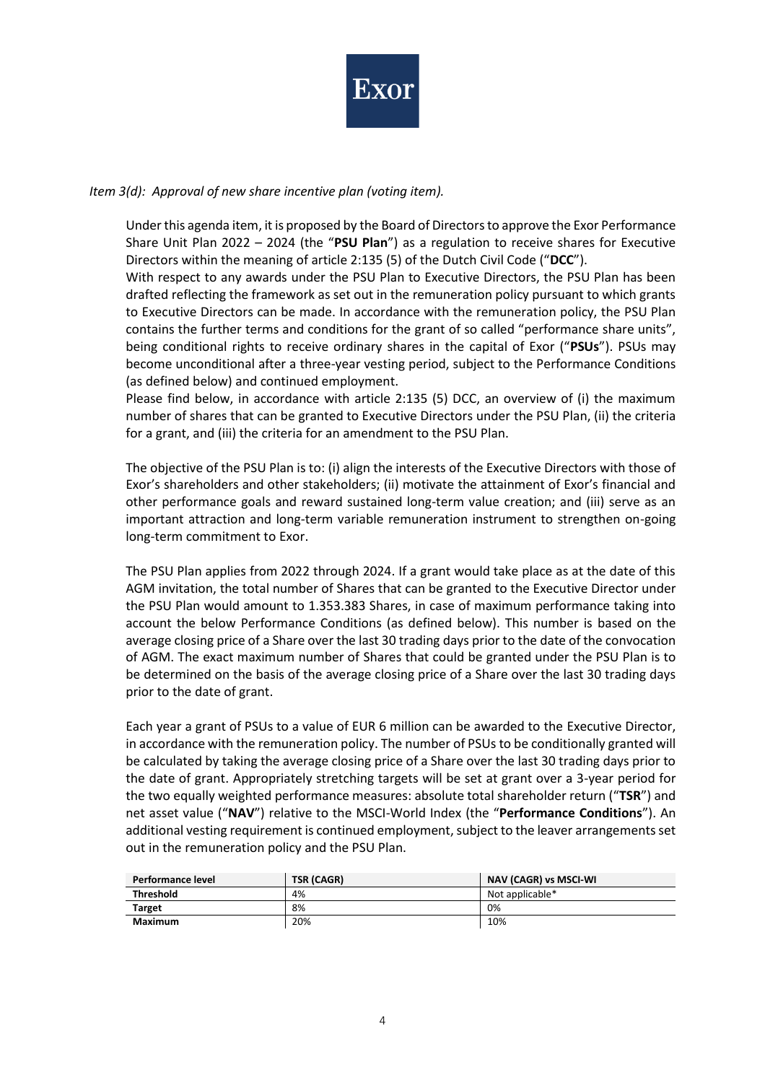

### *Item 3(d): Approval of new share incentive plan (voting item).*

Under this agenda item, it is proposed by the Board of Directors to approve the Exor Performance Share Unit Plan 2022 – 2024 (the "**PSU Plan**") as a regulation to receive shares for Executive Directors within the meaning of article 2:135 (5) of the Dutch Civil Code ("**DCC**").

With respect to any awards under the PSU Plan to Executive Directors, the PSU Plan has been drafted reflecting the framework as set out in the remuneration policy pursuant to which grants to Executive Directors can be made. In accordance with the remuneration policy, the PSU Plan contains the further terms and conditions for the grant of so called "performance share units", being conditional rights to receive ordinary shares in the capital of Exor ("**PSUs**"). PSUs may become unconditional after a three-year vesting period, subject to the Performance Conditions (as defined below) and continued employment.

Please find below, in accordance with article 2:135 (5) DCC, an overview of (i) the maximum number of shares that can be granted to Executive Directors under the PSU Plan, (ii) the criteria for a grant, and (iii) the criteria for an amendment to the PSU Plan.

The objective of the PSU Plan is to: (i) align the interests of the Executive Directors with those of Exor's shareholders and other stakeholders; (ii) motivate the attainment of Exor's financial and other performance goals and reward sustained long-term value creation; and (iii) serve as an important attraction and long-term variable remuneration instrument to strengthen on-going long-term commitment to Exor.

The PSU Plan applies from 2022 through 2024. If a grant would take place as at the date of this AGM invitation, the total number of Shares that can be granted to the Executive Director under the PSU Plan would amount to 1.353.383 Shares, in case of maximum performance taking into account the below Performance Conditions (as defined below). This number is based on the average closing price of a Share over the last 30 trading days prior to the date of the convocation of AGM. The exact maximum number of Shares that could be granted under the PSU Plan is to be determined on the basis of the average closing price of a Share over the last 30 trading days prior to the date of grant.

Each year a grant of PSUs to a value of EUR 6 million can be awarded to the Executive Director, in accordance with the remuneration policy. The number of PSUs to be conditionally granted will be calculated by taking the average closing price of a Share over the last 30 trading days prior to the date of grant. Appropriately stretching targets will be set at grant over a 3-year period for the two equally weighted performance measures: absolute total shareholder return ("**TSR**") and net asset value ("**NAV**") relative to the MSCI-World Index (the "**Performance Conditions**"). An additional vesting requirement is continued employment, subject to the leaver arrangements set out in the remuneration policy and the PSU Plan.

| Performance level | <b>TSR (CAGR)</b> | NAV (CAGR) vs MSCI-WI |
|-------------------|-------------------|-----------------------|
| <b>Threshold</b>  | 4%                | Not applicable*       |
| Target            | 8%                | 0%                    |
| Maximum           | 20%               | 10%                   |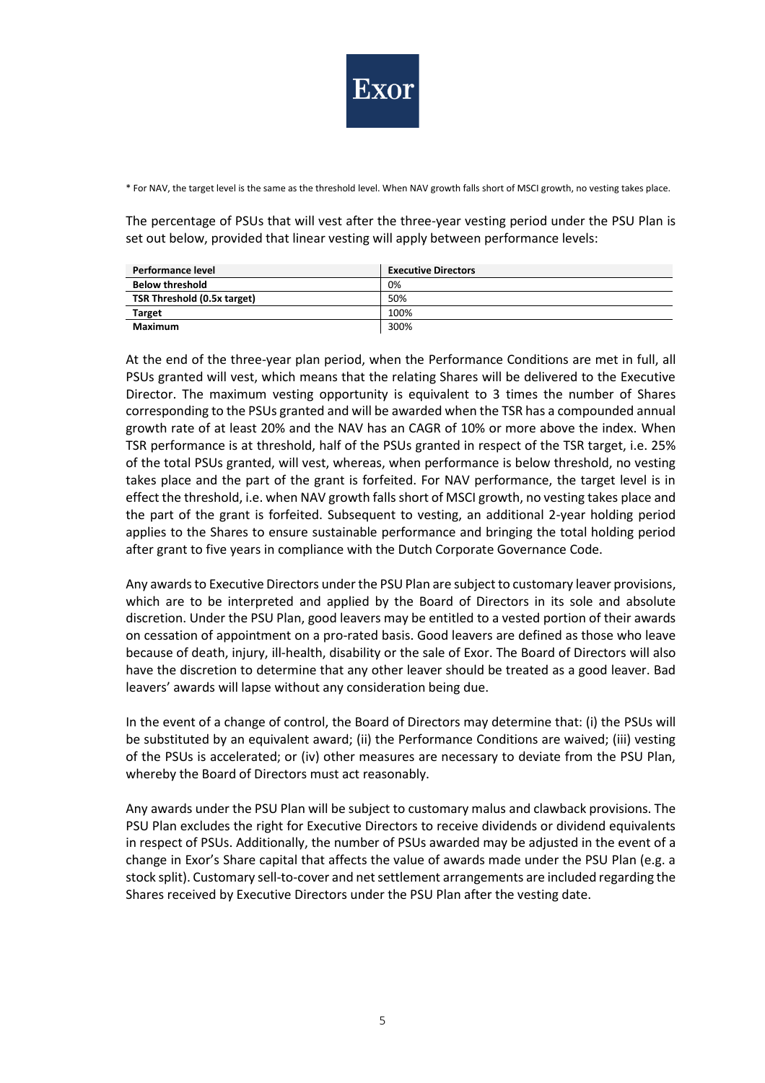

\* For NAV, the target level is the same as the threshold level. When NAV growth falls short of MSCI growth, no vesting takes place.

The percentage of PSUs that will vest after the three-year vesting period under the PSU Plan is set out below, provided that linear vesting will apply between performance levels:

| Performance level           | <b>Executive Directors</b> |
|-----------------------------|----------------------------|
| <b>Below threshold</b>      | 0%                         |
| TSR Threshold (0.5x target) | 50%                        |
| Target                      | 100%                       |
| Maximum                     | 300%                       |

At the end of the three-year plan period, when the Performance Conditions are met in full, all PSUs granted will vest, which means that the relating Shares will be delivered to the Executive Director. The maximum vesting opportunity is equivalent to 3 times the number of Shares corresponding to the PSUs granted and will be awarded when the TSR has a compounded annual growth rate of at least 20% and the NAV has an CAGR of 10% or more above the index. When TSR performance is at threshold, half of the PSUs granted in respect of the TSR target, i.e. 25% of the total PSUs granted, will vest, whereas, when performance is below threshold, no vesting takes place and the part of the grant is forfeited. For NAV performance, the target level is in effect the threshold, i.e. when NAV growth falls short of MSCI growth, no vesting takes place and the part of the grant is forfeited. Subsequent to vesting, an additional 2-year holding period applies to the Shares to ensure sustainable performance and bringing the total holding period after grant to five years in compliance with the Dutch Corporate Governance Code.

Any awards to Executive Directors under the PSU Plan are subject to customary leaver provisions, which are to be interpreted and applied by the Board of Directors in its sole and absolute discretion. Under the PSU Plan, good leavers may be entitled to a vested portion of their awards on cessation of appointment on a pro-rated basis. Good leavers are defined as those who leave because of death, injury, ill-health, disability or the sale of Exor. The Board of Directors will also have the discretion to determine that any other leaver should be treated as a good leaver. Bad leavers' awards will lapse without any consideration being due.

In the event of a change of control, the Board of Directors may determine that: (i) the PSUs will be substituted by an equivalent award; (ii) the Performance Conditions are waived; (iii) vesting of the PSUs is accelerated; or (iv) other measures are necessary to deviate from the PSU Plan, whereby the Board of Directors must act reasonably.

Any awards under the PSU Plan will be subject to customary malus and clawback provisions. The PSU Plan excludes the right for Executive Directors to receive dividends or dividend equivalents in respect of PSUs. Additionally, the number of PSUs awarded may be adjusted in the event of a change in Exor's Share capital that affects the value of awards made under the PSU Plan (e.g. a stock split). Customary sell-to-cover and net settlement arrangements are included regarding the Shares received by Executive Directors under the PSU Plan after the vesting date.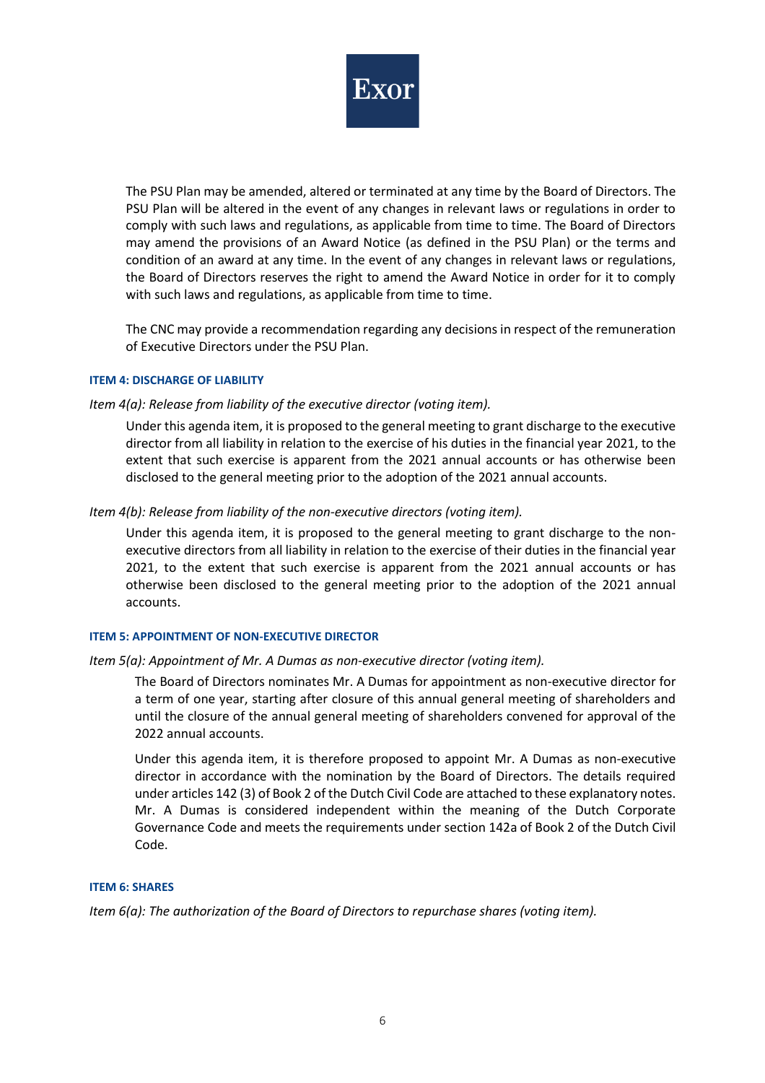

The PSU Plan may be amended, altered or terminated at any time by the Board of Directors. The PSU Plan will be altered in the event of any changes in relevant laws or regulations in order to comply with such laws and regulations, as applicable from time to time. The Board of Directors may amend the provisions of an Award Notice (as defined in the PSU Plan) or the terms and condition of an award at any time. In the event of any changes in relevant laws or regulations, the Board of Directors reserves the right to amend the Award Notice in order for it to comply with such laws and regulations, as applicable from time to time.

The CNC may provide a recommendation regarding any decisions in respect of the remuneration of Executive Directors under the PSU Plan.

#### **ITEM 4: DISCHARGE OF LIABILITY**

*Item 4(a): Release from liability of the executive director (voting item).*

Under this agenda item, it is proposed to the general meeting to grant discharge to the executive director from all liability in relation to the exercise of his duties in the financial year 2021, to the extent that such exercise is apparent from the 2021 annual accounts or has otherwise been disclosed to the general meeting prior to the adoption of the 2021 annual accounts.

### *Item 4(b): Release from liability of the non-executive directors (voting item).*

Under this agenda item, it is proposed to the general meeting to grant discharge to the nonexecutive directors from all liability in relation to the exercise of their duties in the financial year 2021, to the extent that such exercise is apparent from the 2021 annual accounts or has otherwise been disclosed to the general meeting prior to the adoption of the 2021 annual accounts.

#### **ITEM 5: APPOINTMENT OF NON-EXECUTIVE DIRECTOR**

### *Item 5(a): Appointment of Mr. A Dumas as non-executive director (voting item).*

The Board of Directors nominates Mr. A Dumas for appointment as non-executive director for a term of one year, starting after closure of this annual general meeting of shareholders and until the closure of the annual general meeting of shareholders convened for approval of the 2022 annual accounts.

Under this agenda item, it is therefore proposed to appoint Mr. A Dumas as non-executive director in accordance with the nomination by the Board of Directors. The details required under articles 142 (3) of Book 2 of the Dutch Civil Code are attached to these explanatory notes. Mr. A Dumas is considered independent within the meaning of the Dutch Corporate Governance Code and meets the requirements under section 142a of Book 2 of the Dutch Civil Code.

#### **ITEM 6: SHARES**

*Item 6(a): The authorization of the Board of Directors to repurchase shares (voting item).*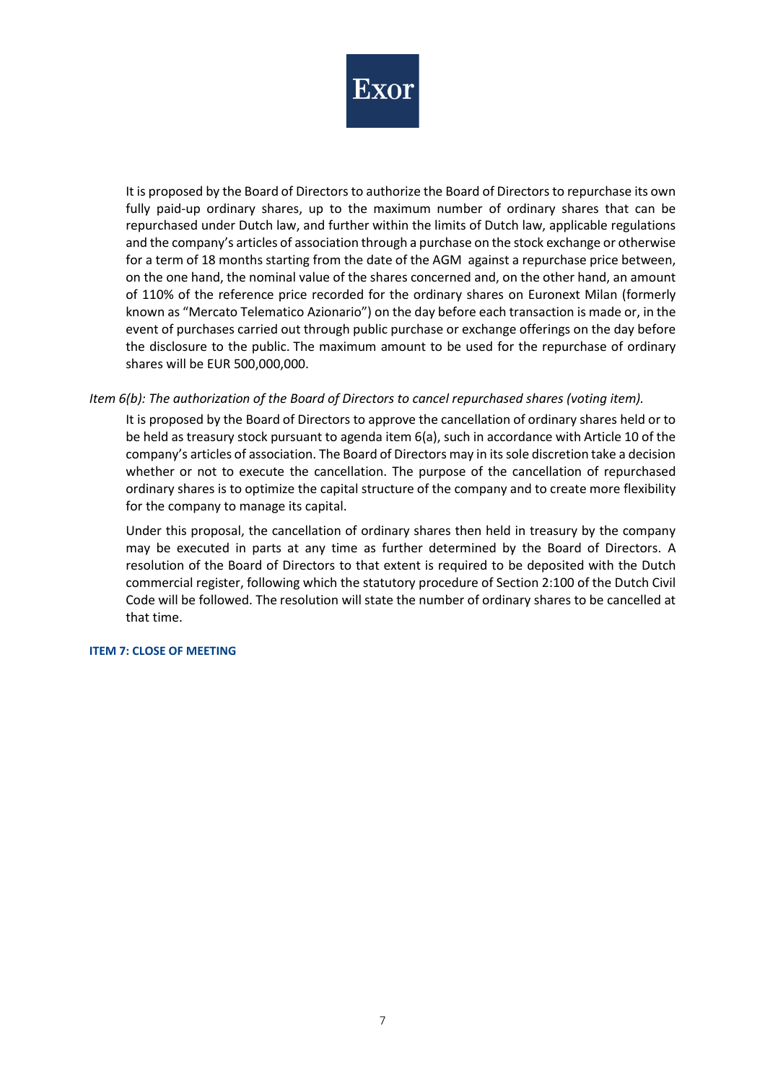

It is proposed by the Board of Directors to authorize the Board of Directors to repurchase its own fully paid-up ordinary shares, up to the maximum number of ordinary shares that can be repurchased under Dutch law, and further within the limits of Dutch law, applicable regulations and the company's articles of association through a purchase on the stock exchange or otherwise for a term of 18 months starting from the date of the AGM against a repurchase price between, on the one hand, the nominal value of the shares concerned and, on the other hand, an amount of 110% of the reference price recorded for the ordinary shares on Euronext Milan (formerly known as "Mercato Telematico Azionario") on the day before each transaction is made or, in the event of purchases carried out through public purchase or exchange offerings on the day before the disclosure to the public. The maximum amount to be used for the repurchase of ordinary shares will be EUR 500,000,000.

### *Item 6(b): The authorization of the Board of Directors to cancel repurchased shares (voting item).*

It is proposed by the Board of Directors to approve the cancellation of ordinary shares held or to be held as treasury stock pursuant to agenda item 6(a), such in accordance with Article 10 of the company's articles of association. The Board of Directors may in its sole discretion take a decision whether or not to execute the cancellation. The purpose of the cancellation of repurchased ordinary shares is to optimize the capital structure of the company and to create more flexibility for the company to manage its capital.

Under this proposal, the cancellation of ordinary shares then held in treasury by the company may be executed in parts at any time as further determined by the Board of Directors. A resolution of the Board of Directors to that extent is required to be deposited with the Dutch commercial register, following which the statutory procedure of Section 2:100 of the Dutch Civil Code will be followed. The resolution will state the number of ordinary shares to be cancelled at that time.

#### **ITEM 7: CLOSE OF MEETING**